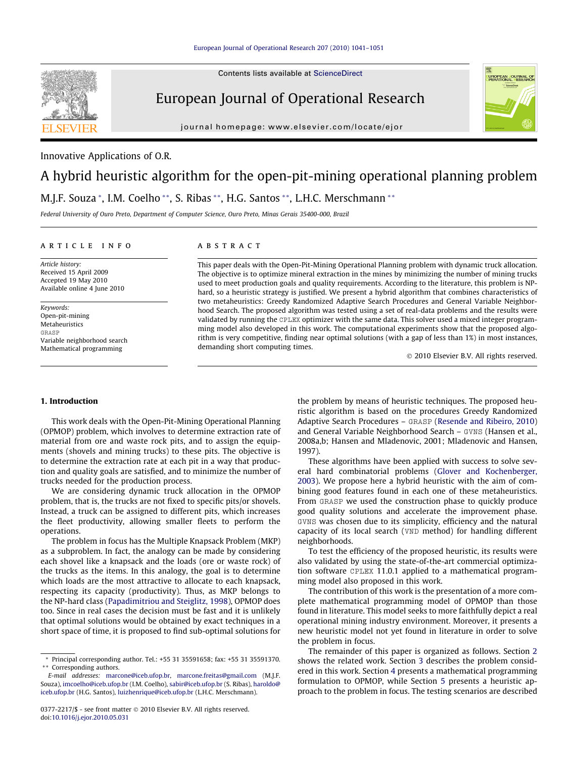

Contents lists available at [ScienceDirect](http://www.sciencedirect.com/science/journal/03772217)

### European Journal of Operational Research

journal homepage: [www.elsevier.com/locate/ejor](http://www.elsevier.com/locate/ejor)

### Innovative Applications of O.R.

## A hybrid heuristic algorithm for the open-pit-mining operational planning problem M.J.F. Souza \*, I.M. Coelho \*\*, S. Ribas \*\*, H.G. Santos \*\*, L.H.C. Merschmann \*\*

Federal University of Ouro Preto, Department of Computer Science, Ouro Preto, Minas Gerais 35400-000, Brazil

#### article info

Article history: Received 15 April 2009 Accepted 19 May 2010 Available online 4 June 2010

Keywords: Open-pit-mining Metaheuristics GRASP Variable neighborhood search Mathematical programming

#### **ABSTRACT**

This paper deals with the Open-Pit-Mining Operational Planning problem with dynamic truck allocation. The objective is to optimize mineral extraction in the mines by minimizing the number of mining trucks used to meet production goals and quality requirements. According to the literature, this problem is NPhard, so a heuristic strategy is justified. We present a hybrid algorithm that combines characteristics of two metaheuristics: Greedy Randomized Adaptive Search Procedures and General Variable Neighborhood Search. The proposed algorithm was tested using a set of real-data problems and the results were validated by running the CPLEX optimizer with the same data. This solver used a mixed integer programming model also developed in this work. The computational experiments show that the proposed algorithm is very competitive, finding near optimal solutions (with a gap of less than 1%) in most instances, demanding short computing times.

- 2010 Elsevier B.V. All rights reserved.

UROPEAN JOURNAL

#### 1. Introduction

This work deals with the Open-Pit-Mining Operational Planning (OPMOP) problem, which involves to determine extraction rate of material from ore and waste rock pits, and to assign the equipments (shovels and mining trucks) to these pits. The objective is to determine the extraction rate at each pit in a way that production and quality goals are satisfied, and to minimize the number of trucks needed for the production process.

We are considering dynamic truck allocation in the OPMOP problem, that is, the trucks are not fixed to specific pits/or shovels. Instead, a truck can be assigned to different pits, which increases the fleet productivity, allowing smaller fleets to perform the operations.

The problem in focus has the Multiple Knapsack Problem (MKP) as a subproblem. In fact, the analogy can be made by considering each shovel like a knapsack and the loads (ore or waste rock) of the trucks as the items. In this analogy, the goal is to determine which loads are the most attractive to allocate to each knapsack, respecting its capacity (productivity). Thus, as MKP belongs to the NP-hard class [\(Papadimitriou and Steiglitz, 1998\)](#page--1-0), OPMOP does too. Since in real cases the decision must be fast and it is unlikely that optimal solutions would be obtained by exact techniques in a short space of time, it is proposed to find sub-optimal solutions for

the problem by means of heuristic techniques. The proposed heuristic algorithm is based on the procedures Greedy Randomized Adaptive Search Procedures – GRASP [\(Resende and Ribeiro, 2010\)](#page--1-0) and General Variable Neighborhood Search – GVNS (Hansen et al., 2008a,b; Hansen and Mladenovic, 2001; Mladenovic and Hansen, 1997).

These algorithms have been applied with success to solve several hard combinatorial problems ([Glover and Kochenberger,](#page--1-0) [2003](#page--1-0)). We propose here a hybrid heuristic with the aim of combining good features found in each one of these metaheuristics. From GRASP we used the construction phase to quickly produce good quality solutions and accelerate the improvement phase. GVNS was chosen due to its simplicity, efficiency and the natural capacity of its local search (VND method) for handling different neighborhoods.

To test the efficiency of the proposed heuristic, its results were also validated by using the state-of-the-art commercial optimization software CPLEX 11.0.1 applied to a mathematical programming model also proposed in this work.

The contribution of this work is the presentation of a more complete mathematical programming model of OPMOP than those found in literature. This model seeks to more faithfully depict a real operational mining industry environment. Moreover, it presents a new heuristic model not yet found in literature in order to solve the problem in focus.

The remainder of this paper is organized as follows. Section [2](#page-1-0) shows the related work. Section [3](#page--1-0) describes the problem considered in this work. Section [4](#page--1-0) presents a mathematical programming formulation to OPMOP, while Section [5](#page--1-0) presents a heuristic approach to the problem in focus. The testing scenarios are described

<sup>\*</sup> Principal corresponding author. Tel.: +55 31 35591658; fax: +55 31 35591370. \*\* Corresponding authors.

E-mail addresses: [marcone@iceb.ufop.br,](mailto:marcone@iceb.ufop.br) [marcone.freitas@gmail.com](mailto:marcone.freitas@gmail.com) (M.J.F. Souza), [imcoelho@iceb.ufop.br](mailto:imcoelho@iceb.ufop.br) (I.M. Coelho), [sabir@iceb.ufop.br](mailto:sabir@iceb.ufop.br) (S. Ribas), [haroldo@](mailto:haroldo@iceb.ufop.br) [iceb.ufop.br](mailto:haroldo@iceb.ufop.br) (H.G. Santos), [luizhenrique@iceb.ufop.br](mailto:luizhenrique@iceb.ufop.br) (L.H.C. Merschmann).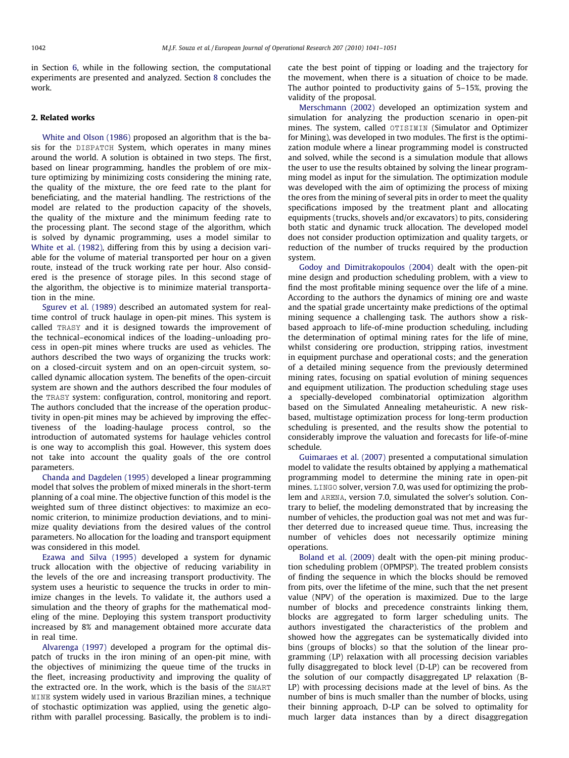<span id="page-1-0"></span>in Section [6,](#page--1-0) while in the following section, the computational experiments are presented and analyzed. Section [8](#page--1-0) concludes the work.

#### 2. Related works

[White and Olson \(1986\)](#page--1-0) proposed an algorithm that is the basis for the DISPATCH System, which operates in many mines around the world. A solution is obtained in two steps. The first, based on linear programming, handles the problem of ore mixture optimizing by minimizing costs considering the mining rate, the quality of the mixture, the ore feed rate to the plant for beneficiating, and the material handling. The restrictions of the model are related to the production capacity of the shovels, the quality of the mixture and the minimum feeding rate to the processing plant. The second stage of the algorithm, which is solved by dynamic programming, uses a model similar to [White et al. \(1982\)](#page--1-0), differing from this by using a decision variable for the volume of material transported per hour on a given route, instead of the truck working rate per hour. Also considered is the presence of storage piles. In this second stage of the algorithm, the objective is to minimize material transportation in the mine.

[Sgurev et al. \(1989\)](#page--1-0) described an automated system for realtime control of truck haulage in open-pit mines. This system is called TRASY and it is designed towards the improvement of the technical–economical indices of the loading–unloading process in open-pit mines where trucks are used as vehicles. The authors described the two ways of organizing the trucks work: on a closed-circuit system and on an open-circuit system, socalled dynamic allocation system. The benefits of the open-circuit system are shown and the authors described the four modules of the TRASY system: configuration, control, monitoring and report. The authors concluded that the increase of the operation productivity in open-pit mines may be achieved by improving the effectiveness of the loading-haulage process control, so the introduction of automated systems for haulage vehicles control is one way to accomplish this goal. However, this system does not take into account the quality goals of the ore control parameters.

[Chanda and Dagdelen \(1995\)](#page--1-0) developed a linear programming model that solves the problem of mixed minerals in the short-term planning of a coal mine. The objective function of this model is the weighted sum of three distinct objectives: to maximize an economic criterion, to minimize production deviations, and to minimize quality deviations from the desired values of the control parameters. No allocation for the loading and transport equipment was considered in this model.

[Ezawa and Silva \(1995\)](#page--1-0) developed a system for dynamic truck allocation with the objective of reducing variability in the levels of the ore and increasing transport productivity. The system uses a heuristic to sequence the trucks in order to minimize changes in the levels. To validate it, the authors used a simulation and the theory of graphs for the mathematical modeling of the mine. Deploying this system transport productivity increased by 8% and management obtained more accurate data in real time.

[Alvarenga \(1997\)](#page--1-0) developed a program for the optimal dispatch of trucks in the iron mining of an open-pit mine, with the objectives of minimizing the queue time of the trucks in the fleet, increasing productivity and improving the quality of the extracted ore. In the work, which is the basis of the SMART MINE system widely used in various Brazilian mines, a technique of stochastic optimization was applied, using the genetic algorithm with parallel processing. Basically, the problem is to indicate the best point of tipping or loading and the trajectory for the movement, when there is a situation of choice to be made. The author pointed to productivity gains of 5–15%, proving the validity of the proposal.

[Merschmann \(2002\)](#page--1-0) developed an optimization system and simulation for analyzing the production scenario in open-pit mines. The system, called OTISIMIN (Simulator and Optimizer for Mining), was developed in two modules. The first is the optimization module where a linear programming model is constructed and solved, while the second is a simulation module that allows the user to use the results obtained by solving the linear programming model as input for the simulation. The optimization module was developed with the aim of optimizing the process of mixing the ores from the mining of several pits in order to meet the quality specifications imposed by the treatment plant and allocating equipments (trucks, shovels and/or excavators) to pits, considering both static and dynamic truck allocation. The developed model does not consider production optimization and quality targets, or reduction of the number of trucks required by the production system.

[Godoy and Dimitrakopoulos \(2004\)](#page--1-0) dealt with the open-pit mine design and production scheduling problem, with a view to find the most profitable mining sequence over the life of a mine. According to the authors the dynamics of mining ore and waste and the spatial grade uncertainty make predictions of the optimal mining sequence a challenging task. The authors show a riskbased approach to life-of-mine production scheduling, including the determination of optimal mining rates for the life of mine, whilst considering ore production, stripping ratios, investment in equipment purchase and operational costs; and the generation of a detailed mining sequence from the previously determined mining rates, focusing on spatial evolution of mining sequences and equipment utilization. The production scheduling stage uses a specially-developed combinatorial optimization algorithm based on the Simulated Annealing metaheuristic. A new riskbased, multistage optimization process for long-term production scheduling is presented, and the results show the potential to considerably improve the valuation and forecasts for life-of-mine schedule.

[Guimaraes et al. \(2007\)](#page--1-0) presented a computational simulation model to validate the results obtained by applying a mathematical programming model to determine the mining rate in open-pit mines. LINGO solver, version 7.0, was used for optimizing the problem and ARENA, version 7.0, simulated the solver's solution. Contrary to belief, the modeling demonstrated that by increasing the number of vehicles, the production goal was not met and was further deterred due to increased queue time. Thus, increasing the number of vehicles does not necessarily optimize mining operations.

[Boland et al. \(2009\)](#page--1-0) dealt with the open-pit mining production scheduling problem (OPMPSP). The treated problem consists of finding the sequence in which the blocks should be removed from pits, over the lifetime of the mine, such that the net present value (NPV) of the operation is maximized. Due to the large number of blocks and precedence constraints linking them, blocks are aggregated to form larger scheduling units. The authors investigated the characteristics of the problem and showed how the aggregates can be systematically divided into bins (groups of blocks) so that the solution of the linear programming (LP) relaxation with all processing decision variables fully disaggregated to block level (D-LP) can be recovered from the solution of our compactly disaggregated LP relaxation (B-LP) with processing decisions made at the level of bins. As the number of bins is much smaller than the number of blocks, using their binning approach, D-LP can be solved to optimality for much larger data instances than by a direct disaggregation